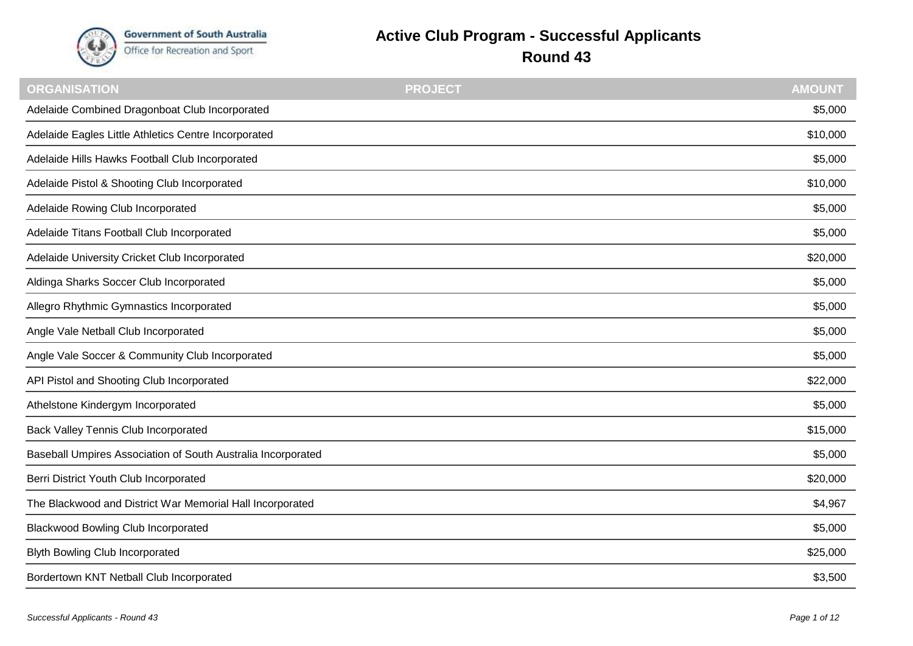

## **Active Club Program - Successful Applicants**

**Round 43**

| <b>ORGANISATION</b>                                          | <b>PROJECT</b> | <b>AMOUNT</b> |
|--------------------------------------------------------------|----------------|---------------|
| Adelaide Combined Dragonboat Club Incorporated               |                | \$5,000       |
| Adelaide Eagles Little Athletics Centre Incorporated         |                | \$10,000      |
| Adelaide Hills Hawks Football Club Incorporated              |                | \$5,000       |
| Adelaide Pistol & Shooting Club Incorporated                 |                | \$10,000      |
| Adelaide Rowing Club Incorporated                            |                | \$5,000       |
| Adelaide Titans Football Club Incorporated                   |                | \$5,000       |
| Adelaide University Cricket Club Incorporated                |                | \$20,000      |
| Aldinga Sharks Soccer Club Incorporated                      |                | \$5,000       |
| Allegro Rhythmic Gymnastics Incorporated                     |                | \$5,000       |
| Angle Vale Netball Club Incorporated                         |                | \$5,000       |
| Angle Vale Soccer & Community Club Incorporated              |                | \$5,000       |
| API Pistol and Shooting Club Incorporated                    |                | \$22,000      |
| Athelstone Kindergym Incorporated                            |                | \$5,000       |
| <b>Back Valley Tennis Club Incorporated</b>                  |                | \$15,000      |
| Baseball Umpires Association of South Australia Incorporated |                | \$5,000       |
| Berri District Youth Club Incorporated                       |                | \$20,000      |
| The Blackwood and District War Memorial Hall Incorporated    |                | \$4,967       |
| <b>Blackwood Bowling Club Incorporated</b>                   |                | \$5,000       |
| <b>Blyth Bowling Club Incorporated</b>                       |                | \$25,000      |
| Bordertown KNT Netball Club Incorporated                     |                | \$3,500       |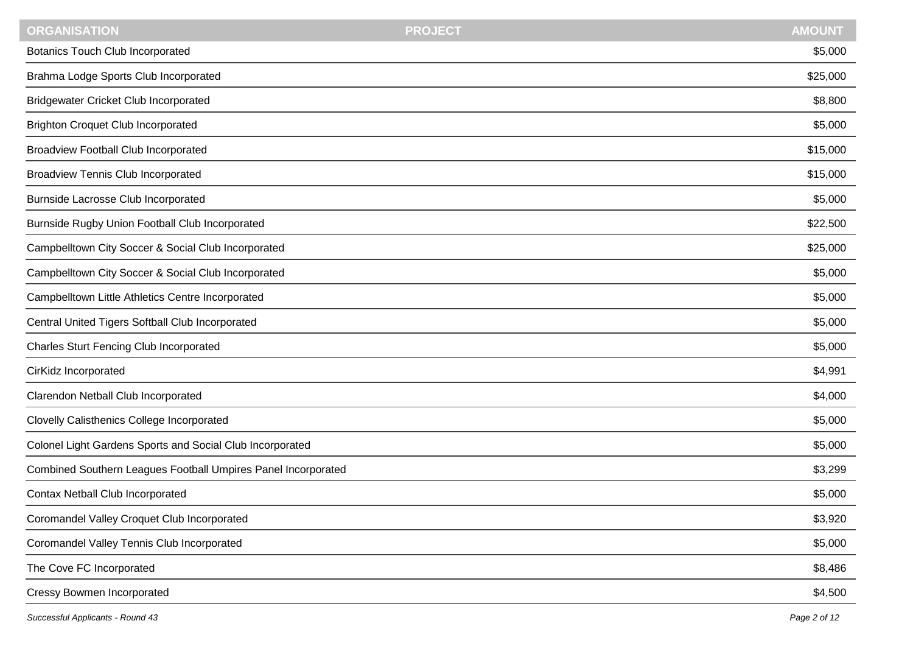| <b>AMOUNT</b><br><b>PROJECT</b> |  |
|---------------------------------|--|
| \$5,000                         |  |
| \$25,000                        |  |
| \$8,800                         |  |
| \$5,000                         |  |
| \$15,000                        |  |
| \$15,000                        |  |
| \$5,000                         |  |
| \$22,500                        |  |
| \$25,000                        |  |
| \$5,000                         |  |
| \$5,000                         |  |
| \$5,000                         |  |
| \$5,000                         |  |
| \$4,991                         |  |
| \$4,000                         |  |
| \$5,000                         |  |
| \$5,000                         |  |
| \$3,299                         |  |
| \$5,000                         |  |
| \$3,920                         |  |
| \$5,000                         |  |
| \$8,486                         |  |
| \$4,500                         |  |
|                                 |  |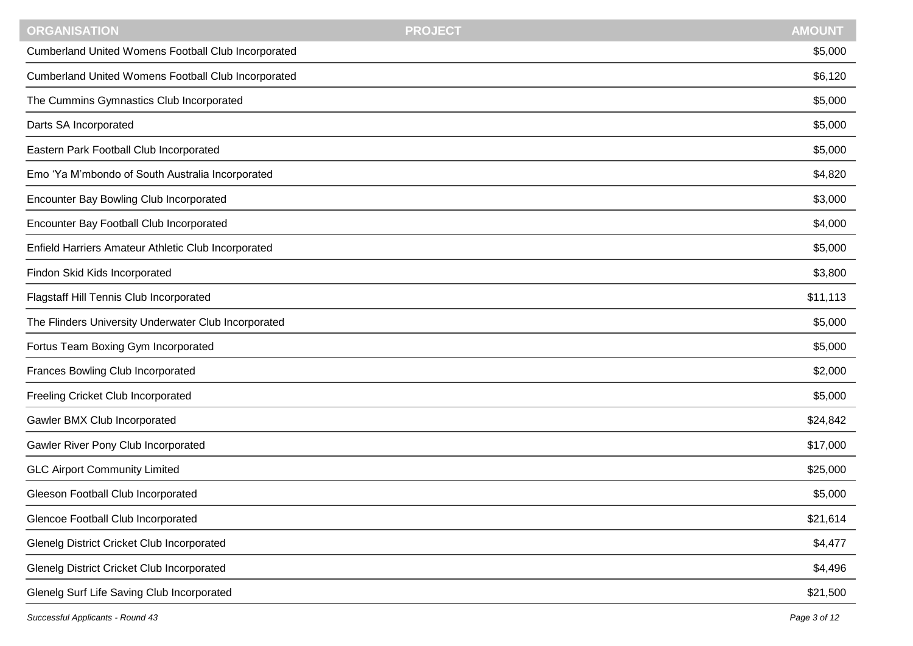| Cumberland United Womens Football Club Incorporated<br>\$5,000<br>Cumberland United Womens Football Club Incorporated<br>\$6,120<br>The Cummins Gymnastics Club Incorporated<br>\$5,000<br>\$5,000<br>Darts SA Incorporated<br>Eastern Park Football Club Incorporated<br>\$5,000<br>Emo 'Ya M'mbondo of South Australia Incorporated<br>\$4,820<br>Encounter Bay Bowling Club Incorporated<br>\$3,000<br>Encounter Bay Football Club Incorporated<br>\$4,000<br>Enfield Harriers Amateur Athletic Club Incorporated<br>\$5,000<br>\$3,800<br>Findon Skid Kids Incorporated<br>Flagstaff Hill Tennis Club Incorporated<br>\$11,113<br>The Flinders University Underwater Club Incorporated<br>\$5,000<br>Fortus Team Boxing Gym Incorporated<br>\$5,000<br>Frances Bowling Club Incorporated<br>\$2,000<br>Freeling Cricket Club Incorporated<br>\$5,000<br>Gawler BMX Club Incorporated<br>\$24,842<br>Gawler River Pony Club Incorporated<br>\$17,000<br><b>GLC Airport Community Limited</b><br>\$25,000<br>Gleeson Football Club Incorporated<br>\$5,000<br>Glencoe Football Club Incorporated<br>\$21,614<br><b>Glenelg District Cricket Club Incorporated</b><br>\$4,477<br><b>Glenelg District Cricket Club Incorporated</b><br>\$4,496 | <b>ORGANISATION</b>                        | <b>PROJECT</b> | <b>AMOUNT</b> |
|------------------------------------------------------------------------------------------------------------------------------------------------------------------------------------------------------------------------------------------------------------------------------------------------------------------------------------------------------------------------------------------------------------------------------------------------------------------------------------------------------------------------------------------------------------------------------------------------------------------------------------------------------------------------------------------------------------------------------------------------------------------------------------------------------------------------------------------------------------------------------------------------------------------------------------------------------------------------------------------------------------------------------------------------------------------------------------------------------------------------------------------------------------------------------------------------------------------------------------------------|--------------------------------------------|----------------|---------------|
|                                                                                                                                                                                                                                                                                                                                                                                                                                                                                                                                                                                                                                                                                                                                                                                                                                                                                                                                                                                                                                                                                                                                                                                                                                                |                                            |                |               |
|                                                                                                                                                                                                                                                                                                                                                                                                                                                                                                                                                                                                                                                                                                                                                                                                                                                                                                                                                                                                                                                                                                                                                                                                                                                |                                            |                |               |
|                                                                                                                                                                                                                                                                                                                                                                                                                                                                                                                                                                                                                                                                                                                                                                                                                                                                                                                                                                                                                                                                                                                                                                                                                                                |                                            |                |               |
|                                                                                                                                                                                                                                                                                                                                                                                                                                                                                                                                                                                                                                                                                                                                                                                                                                                                                                                                                                                                                                                                                                                                                                                                                                                |                                            |                |               |
|                                                                                                                                                                                                                                                                                                                                                                                                                                                                                                                                                                                                                                                                                                                                                                                                                                                                                                                                                                                                                                                                                                                                                                                                                                                |                                            |                |               |
|                                                                                                                                                                                                                                                                                                                                                                                                                                                                                                                                                                                                                                                                                                                                                                                                                                                                                                                                                                                                                                                                                                                                                                                                                                                |                                            |                |               |
|                                                                                                                                                                                                                                                                                                                                                                                                                                                                                                                                                                                                                                                                                                                                                                                                                                                                                                                                                                                                                                                                                                                                                                                                                                                |                                            |                |               |
|                                                                                                                                                                                                                                                                                                                                                                                                                                                                                                                                                                                                                                                                                                                                                                                                                                                                                                                                                                                                                                                                                                                                                                                                                                                |                                            |                |               |
|                                                                                                                                                                                                                                                                                                                                                                                                                                                                                                                                                                                                                                                                                                                                                                                                                                                                                                                                                                                                                                                                                                                                                                                                                                                |                                            |                |               |
|                                                                                                                                                                                                                                                                                                                                                                                                                                                                                                                                                                                                                                                                                                                                                                                                                                                                                                                                                                                                                                                                                                                                                                                                                                                |                                            |                |               |
|                                                                                                                                                                                                                                                                                                                                                                                                                                                                                                                                                                                                                                                                                                                                                                                                                                                                                                                                                                                                                                                                                                                                                                                                                                                |                                            |                |               |
|                                                                                                                                                                                                                                                                                                                                                                                                                                                                                                                                                                                                                                                                                                                                                                                                                                                                                                                                                                                                                                                                                                                                                                                                                                                |                                            |                |               |
|                                                                                                                                                                                                                                                                                                                                                                                                                                                                                                                                                                                                                                                                                                                                                                                                                                                                                                                                                                                                                                                                                                                                                                                                                                                |                                            |                |               |
|                                                                                                                                                                                                                                                                                                                                                                                                                                                                                                                                                                                                                                                                                                                                                                                                                                                                                                                                                                                                                                                                                                                                                                                                                                                |                                            |                |               |
|                                                                                                                                                                                                                                                                                                                                                                                                                                                                                                                                                                                                                                                                                                                                                                                                                                                                                                                                                                                                                                                                                                                                                                                                                                                |                                            |                |               |
|                                                                                                                                                                                                                                                                                                                                                                                                                                                                                                                                                                                                                                                                                                                                                                                                                                                                                                                                                                                                                                                                                                                                                                                                                                                |                                            |                |               |
|                                                                                                                                                                                                                                                                                                                                                                                                                                                                                                                                                                                                                                                                                                                                                                                                                                                                                                                                                                                                                                                                                                                                                                                                                                                |                                            |                |               |
|                                                                                                                                                                                                                                                                                                                                                                                                                                                                                                                                                                                                                                                                                                                                                                                                                                                                                                                                                                                                                                                                                                                                                                                                                                                |                                            |                |               |
|                                                                                                                                                                                                                                                                                                                                                                                                                                                                                                                                                                                                                                                                                                                                                                                                                                                                                                                                                                                                                                                                                                                                                                                                                                                |                                            |                |               |
|                                                                                                                                                                                                                                                                                                                                                                                                                                                                                                                                                                                                                                                                                                                                                                                                                                                                                                                                                                                                                                                                                                                                                                                                                                                |                                            |                |               |
|                                                                                                                                                                                                                                                                                                                                                                                                                                                                                                                                                                                                                                                                                                                                                                                                                                                                                                                                                                                                                                                                                                                                                                                                                                                |                                            |                |               |
|                                                                                                                                                                                                                                                                                                                                                                                                                                                                                                                                                                                                                                                                                                                                                                                                                                                                                                                                                                                                                                                                                                                                                                                                                                                |                                            |                |               |
|                                                                                                                                                                                                                                                                                                                                                                                                                                                                                                                                                                                                                                                                                                                                                                                                                                                                                                                                                                                                                                                                                                                                                                                                                                                | Glenelg Surf Life Saving Club Incorporated |                | \$21,500      |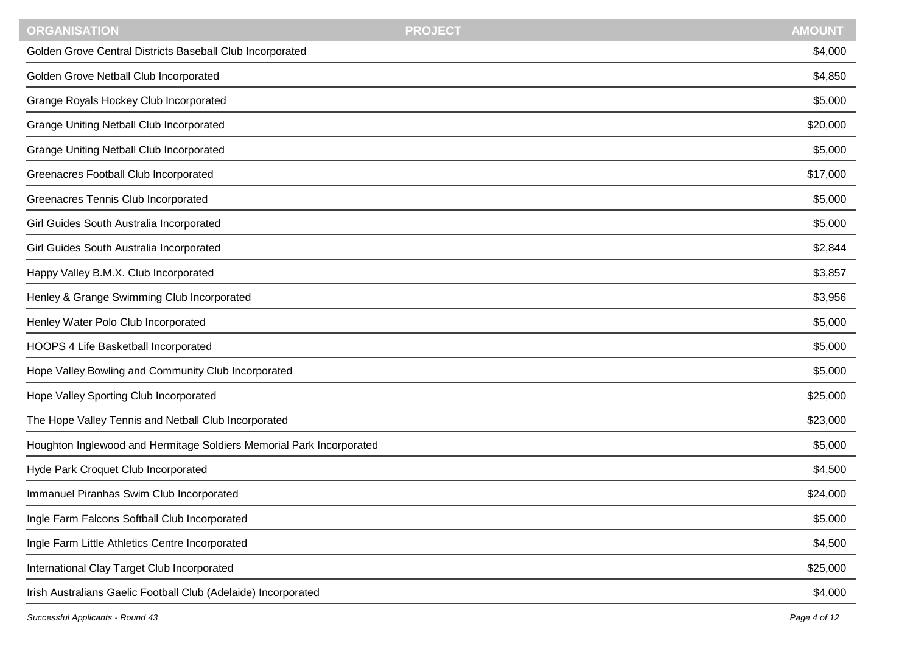| <b>ORGANISATION</b>                                                  | <b>PROJECT</b> | <b>AMOUNT</b> |
|----------------------------------------------------------------------|----------------|---------------|
| Golden Grove Central Districts Baseball Club Incorporated            |                | \$4,000       |
| Golden Grove Netball Club Incorporated                               |                | \$4,850       |
| Grange Royals Hockey Club Incorporated                               |                | \$5,000       |
| <b>Grange Uniting Netball Club Incorporated</b>                      |                | \$20,000      |
| <b>Grange Uniting Netball Club Incorporated</b>                      |                | \$5,000       |
| Greenacres Football Club Incorporated                                |                | \$17,000      |
| Greenacres Tennis Club Incorporated                                  |                | \$5,000       |
| Girl Guides South Australia Incorporated                             |                | \$5,000       |
| Girl Guides South Australia Incorporated                             |                | \$2,844       |
| Happy Valley B.M.X. Club Incorporated                                |                | \$3,857       |
| Henley & Grange Swimming Club Incorporated                           |                | \$3,956       |
| Henley Water Polo Club Incorporated                                  |                | \$5,000       |
| HOOPS 4 Life Basketball Incorporated                                 |                | \$5,000       |
| Hope Valley Bowling and Community Club Incorporated                  |                | \$5,000       |
| Hope Valley Sporting Club Incorporated                               |                | \$25,000      |
| The Hope Valley Tennis and Netball Club Incorporated                 |                | \$23,000      |
| Houghton Inglewood and Hermitage Soldiers Memorial Park Incorporated |                | \$5,000       |
| Hyde Park Croquet Club Incorporated                                  |                | \$4,500       |
| Immanuel Piranhas Swim Club Incorporated                             |                | \$24,000      |
| Ingle Farm Falcons Softball Club Incorporated                        |                | \$5,000       |
| Ingle Farm Little Athletics Centre Incorporated                      |                | \$4,500       |
| International Clay Target Club Incorporated                          |                | \$25,000      |
| Irish Australians Gaelic Football Club (Adelaide) Incorporated       |                | \$4,000       |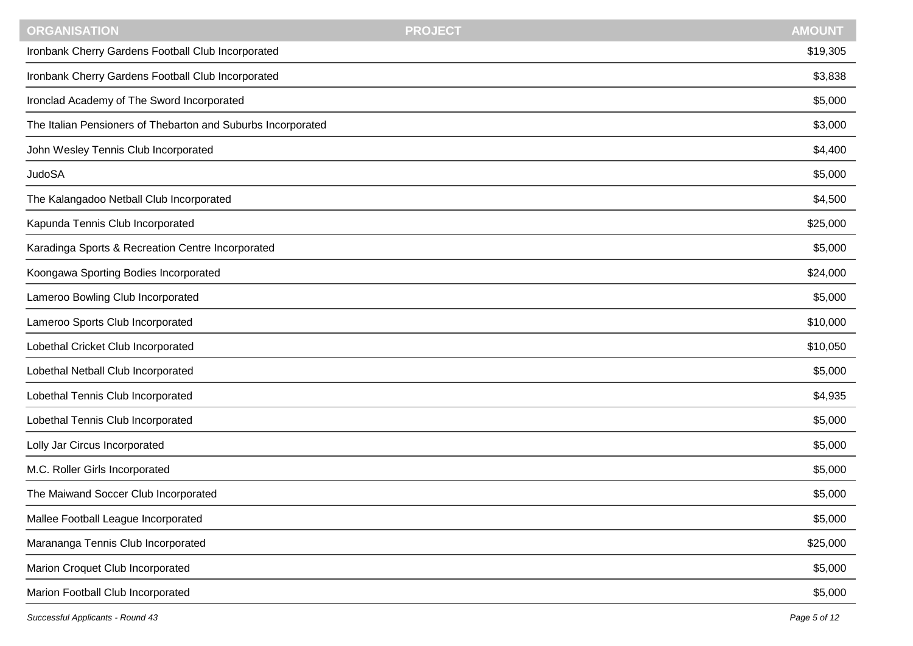| Ironbank Cherry Gardens Football Club Incorporated<br>\$19,305<br>Ironbank Cherry Gardens Football Club Incorporated<br>\$3,838<br>Ironclad Academy of The Sword Incorporated<br>\$5,000<br>The Italian Pensioners of Thebarton and Suburbs Incorporated<br>\$3,000<br>John Wesley Tennis Club Incorporated<br>\$4,400<br><b>JudoSA</b><br>\$5,000<br>The Kalangadoo Netball Club Incorporated<br>\$4,500<br>Kapunda Tennis Club Incorporated<br>\$25,000<br>Karadinga Sports & Recreation Centre Incorporated<br>\$5,000<br>Koongawa Sporting Bodies Incorporated<br>\$24,000<br>Lameroo Bowling Club Incorporated<br>\$5,000<br>Lameroo Sports Club Incorporated<br>\$10,000<br>Lobethal Cricket Club Incorporated<br>\$10,050<br>Lobethal Netball Club Incorporated<br>\$5,000<br>Lobethal Tennis Club Incorporated<br>\$4,935<br>Lobethal Tennis Club Incorporated<br>\$5,000<br>Lolly Jar Circus Incorporated<br>\$5,000<br>M.C. Roller Girls Incorporated<br>\$5,000<br>The Maiwand Soccer Club Incorporated<br>\$5,000<br>\$5,000<br>Mallee Football League Incorporated<br>Marananga Tennis Club Incorporated<br>\$25,000<br>Marion Croquet Club Incorporated<br>\$5,000<br>Marion Football Club Incorporated<br>\$5,000 | <b>ORGANISATION</b> | <b>PROJECT</b> | <b>AMOUNT</b> |
|----------------------------------------------------------------------------------------------------------------------------------------------------------------------------------------------------------------------------------------------------------------------------------------------------------------------------------------------------------------------------------------------------------------------------------------------------------------------------------------------------------------------------------------------------------------------------------------------------------------------------------------------------------------------------------------------------------------------------------------------------------------------------------------------------------------------------------------------------------------------------------------------------------------------------------------------------------------------------------------------------------------------------------------------------------------------------------------------------------------------------------------------------------------------------------------------------------------------------------|---------------------|----------------|---------------|
|                                                                                                                                                                                                                                                                                                                                                                                                                                                                                                                                                                                                                                                                                                                                                                                                                                                                                                                                                                                                                                                                                                                                                                                                                                  |                     |                |               |
|                                                                                                                                                                                                                                                                                                                                                                                                                                                                                                                                                                                                                                                                                                                                                                                                                                                                                                                                                                                                                                                                                                                                                                                                                                  |                     |                |               |
|                                                                                                                                                                                                                                                                                                                                                                                                                                                                                                                                                                                                                                                                                                                                                                                                                                                                                                                                                                                                                                                                                                                                                                                                                                  |                     |                |               |
|                                                                                                                                                                                                                                                                                                                                                                                                                                                                                                                                                                                                                                                                                                                                                                                                                                                                                                                                                                                                                                                                                                                                                                                                                                  |                     |                |               |
|                                                                                                                                                                                                                                                                                                                                                                                                                                                                                                                                                                                                                                                                                                                                                                                                                                                                                                                                                                                                                                                                                                                                                                                                                                  |                     |                |               |
|                                                                                                                                                                                                                                                                                                                                                                                                                                                                                                                                                                                                                                                                                                                                                                                                                                                                                                                                                                                                                                                                                                                                                                                                                                  |                     |                |               |
|                                                                                                                                                                                                                                                                                                                                                                                                                                                                                                                                                                                                                                                                                                                                                                                                                                                                                                                                                                                                                                                                                                                                                                                                                                  |                     |                |               |
|                                                                                                                                                                                                                                                                                                                                                                                                                                                                                                                                                                                                                                                                                                                                                                                                                                                                                                                                                                                                                                                                                                                                                                                                                                  |                     |                |               |
|                                                                                                                                                                                                                                                                                                                                                                                                                                                                                                                                                                                                                                                                                                                                                                                                                                                                                                                                                                                                                                                                                                                                                                                                                                  |                     |                |               |
|                                                                                                                                                                                                                                                                                                                                                                                                                                                                                                                                                                                                                                                                                                                                                                                                                                                                                                                                                                                                                                                                                                                                                                                                                                  |                     |                |               |
|                                                                                                                                                                                                                                                                                                                                                                                                                                                                                                                                                                                                                                                                                                                                                                                                                                                                                                                                                                                                                                                                                                                                                                                                                                  |                     |                |               |
|                                                                                                                                                                                                                                                                                                                                                                                                                                                                                                                                                                                                                                                                                                                                                                                                                                                                                                                                                                                                                                                                                                                                                                                                                                  |                     |                |               |
|                                                                                                                                                                                                                                                                                                                                                                                                                                                                                                                                                                                                                                                                                                                                                                                                                                                                                                                                                                                                                                                                                                                                                                                                                                  |                     |                |               |
|                                                                                                                                                                                                                                                                                                                                                                                                                                                                                                                                                                                                                                                                                                                                                                                                                                                                                                                                                                                                                                                                                                                                                                                                                                  |                     |                |               |
|                                                                                                                                                                                                                                                                                                                                                                                                                                                                                                                                                                                                                                                                                                                                                                                                                                                                                                                                                                                                                                                                                                                                                                                                                                  |                     |                |               |
|                                                                                                                                                                                                                                                                                                                                                                                                                                                                                                                                                                                                                                                                                                                                                                                                                                                                                                                                                                                                                                                                                                                                                                                                                                  |                     |                |               |
|                                                                                                                                                                                                                                                                                                                                                                                                                                                                                                                                                                                                                                                                                                                                                                                                                                                                                                                                                                                                                                                                                                                                                                                                                                  |                     |                |               |
|                                                                                                                                                                                                                                                                                                                                                                                                                                                                                                                                                                                                                                                                                                                                                                                                                                                                                                                                                                                                                                                                                                                                                                                                                                  |                     |                |               |
|                                                                                                                                                                                                                                                                                                                                                                                                                                                                                                                                                                                                                                                                                                                                                                                                                                                                                                                                                                                                                                                                                                                                                                                                                                  |                     |                |               |
|                                                                                                                                                                                                                                                                                                                                                                                                                                                                                                                                                                                                                                                                                                                                                                                                                                                                                                                                                                                                                                                                                                                                                                                                                                  |                     |                |               |
|                                                                                                                                                                                                                                                                                                                                                                                                                                                                                                                                                                                                                                                                                                                                                                                                                                                                                                                                                                                                                                                                                                                                                                                                                                  |                     |                |               |
|                                                                                                                                                                                                                                                                                                                                                                                                                                                                                                                                                                                                                                                                                                                                                                                                                                                                                                                                                                                                                                                                                                                                                                                                                                  |                     |                |               |
|                                                                                                                                                                                                                                                                                                                                                                                                                                                                                                                                                                                                                                                                                                                                                                                                                                                                                                                                                                                                                                                                                                                                                                                                                                  |                     |                |               |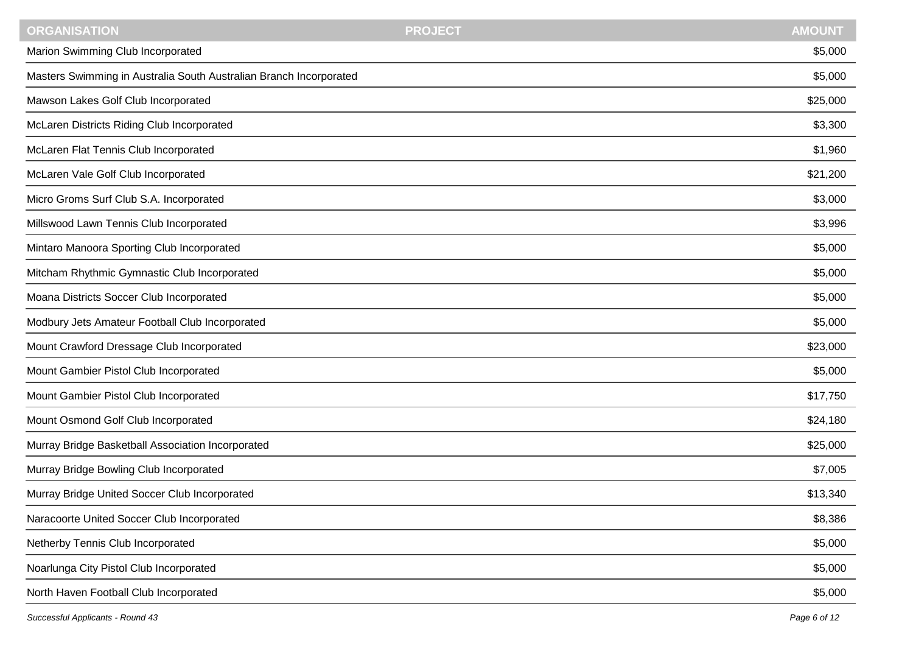| <b>AMOUNT</b><br><b>PROJECT</b> |
|---------------------------------|
| \$5,000                         |
| \$5,000                         |
| \$25,000                        |
| \$3,300                         |
| \$1,960                         |
| \$21,200                        |
| \$3,000                         |
| \$3,996                         |
| \$5,000                         |
| \$5,000                         |
| \$5,000                         |
| \$5,000                         |
| \$23,000                        |
| \$5,000                         |
| \$17,750                        |
| \$24,180                        |
| \$25,000                        |
| \$7,005                         |
| \$13,340                        |
| \$8,386                         |
| \$5,000                         |
| \$5,000                         |
| \$5,000                         |
|                                 |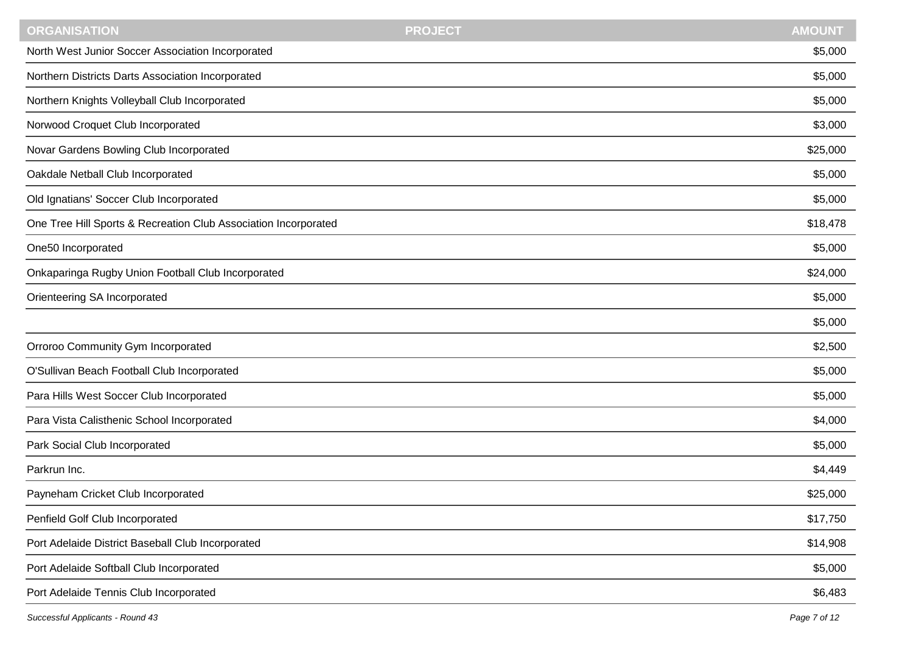| <b>PROJECT</b> | <b>AMOUNT</b> |
|----------------|---------------|
|                | \$5,000       |
|                | \$5,000       |
|                | \$5,000       |
|                | \$3,000       |
|                | \$25,000      |
|                | \$5,000       |
|                | \$5,000       |
|                | \$18,478      |
|                | \$5,000       |
|                | \$24,000      |
|                | \$5,000       |
|                | \$5,000       |
|                | \$2,500       |
|                | \$5,000       |
|                | \$5,000       |
|                | \$4,000       |
|                | \$5,000       |
|                | \$4,449       |
|                | \$25,000      |
|                | \$17,750      |
|                | \$14,908      |
|                | \$5,000       |
|                | \$6,483       |
|                |               |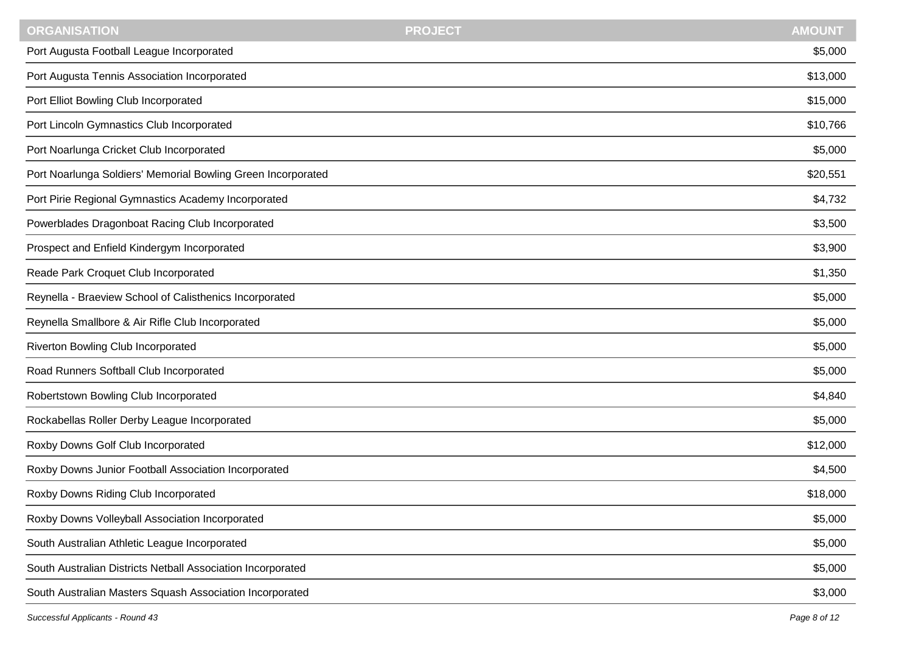| <b>AMOUNT</b><br><b>ORGANISATION</b><br><b>PROJECT</b>       |          |
|--------------------------------------------------------------|----------|
| Port Augusta Football League Incorporated                    | \$5,000  |
| Port Augusta Tennis Association Incorporated                 | \$13,000 |
| Port Elliot Bowling Club Incorporated                        | \$15,000 |
| Port Lincoln Gymnastics Club Incorporated                    | \$10,766 |
| Port Noarlunga Cricket Club Incorporated                     | \$5,000  |
| Port Noarlunga Soldiers' Memorial Bowling Green Incorporated | \$20,551 |
| Port Pirie Regional Gymnastics Academy Incorporated          | \$4,732  |
| Powerblades Dragonboat Racing Club Incorporated              | \$3,500  |
| Prospect and Enfield Kindergym Incorporated                  | \$3,900  |
| Reade Park Croquet Club Incorporated                         | \$1,350  |
| Reynella - Braeview School of Calisthenics Incorporated      | \$5,000  |
| Reynella Smallbore & Air Rifle Club Incorporated             | \$5,000  |
| Riverton Bowling Club Incorporated                           | \$5,000  |
| Road Runners Softball Club Incorporated                      | \$5,000  |
| Robertstown Bowling Club Incorporated                        | \$4,840  |
| Rockabellas Roller Derby League Incorporated                 | \$5,000  |
| Roxby Downs Golf Club Incorporated                           | \$12,000 |
| Roxby Downs Junior Football Association Incorporated         | \$4,500  |
| Roxby Downs Riding Club Incorporated                         | \$18,000 |
| Roxby Downs Volleyball Association Incorporated              | \$5,000  |
| South Australian Athletic League Incorporated                | \$5,000  |
| South Australian Districts Netball Association Incorporated  | \$5,000  |
| South Australian Masters Squash Association Incorporated     | \$3,000  |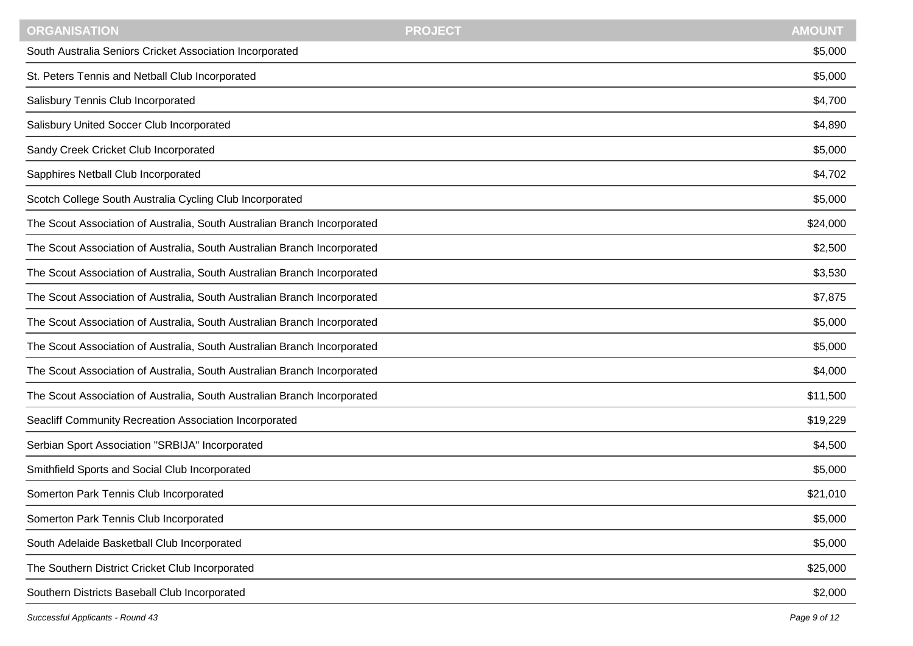| South Australia Seniors Cricket Association Incorporated<br>\$5,000<br>St. Peters Tennis and Netball Club Incorporated<br>\$5,000<br>\$4,700<br>Salisbury Tennis Club Incorporated |  |
|------------------------------------------------------------------------------------------------------------------------------------------------------------------------------------|--|
|                                                                                                                                                                                    |  |
|                                                                                                                                                                                    |  |
|                                                                                                                                                                                    |  |
| Salisbury United Soccer Club Incorporated<br>\$4,890                                                                                                                               |  |
| Sandy Creek Cricket Club Incorporated<br>\$5,000                                                                                                                                   |  |
| Sapphires Netball Club Incorporated<br>\$4,702                                                                                                                                     |  |
| Scotch College South Australia Cycling Club Incorporated<br>\$5,000                                                                                                                |  |
| The Scout Association of Australia, South Australian Branch Incorporated<br>\$24,000                                                                                               |  |
| The Scout Association of Australia, South Australian Branch Incorporated<br>\$2,500                                                                                                |  |
| The Scout Association of Australia, South Australian Branch Incorporated<br>\$3,530                                                                                                |  |
| The Scout Association of Australia, South Australian Branch Incorporated<br>\$7,875                                                                                                |  |
| The Scout Association of Australia, South Australian Branch Incorporated<br>\$5,000                                                                                                |  |
| The Scout Association of Australia, South Australian Branch Incorporated<br>\$5,000                                                                                                |  |
| The Scout Association of Australia, South Australian Branch Incorporated<br>\$4,000                                                                                                |  |
| The Scout Association of Australia, South Australian Branch Incorporated<br>\$11,500                                                                                               |  |
| Seacliff Community Recreation Association Incorporated<br>\$19,229                                                                                                                 |  |
| Serbian Sport Association "SRBIJA" Incorporated<br>\$4,500                                                                                                                         |  |
| Smithfield Sports and Social Club Incorporated<br>\$5,000                                                                                                                          |  |
| Somerton Park Tennis Club Incorporated<br>\$21,010                                                                                                                                 |  |
| Somerton Park Tennis Club Incorporated<br>\$5,000                                                                                                                                  |  |
| South Adelaide Basketball Club Incorporated<br>\$5,000                                                                                                                             |  |
| The Southern District Cricket Club Incorporated<br>\$25,000                                                                                                                        |  |
| Southern Districts Baseball Club Incorporated<br>\$2,000                                                                                                                           |  |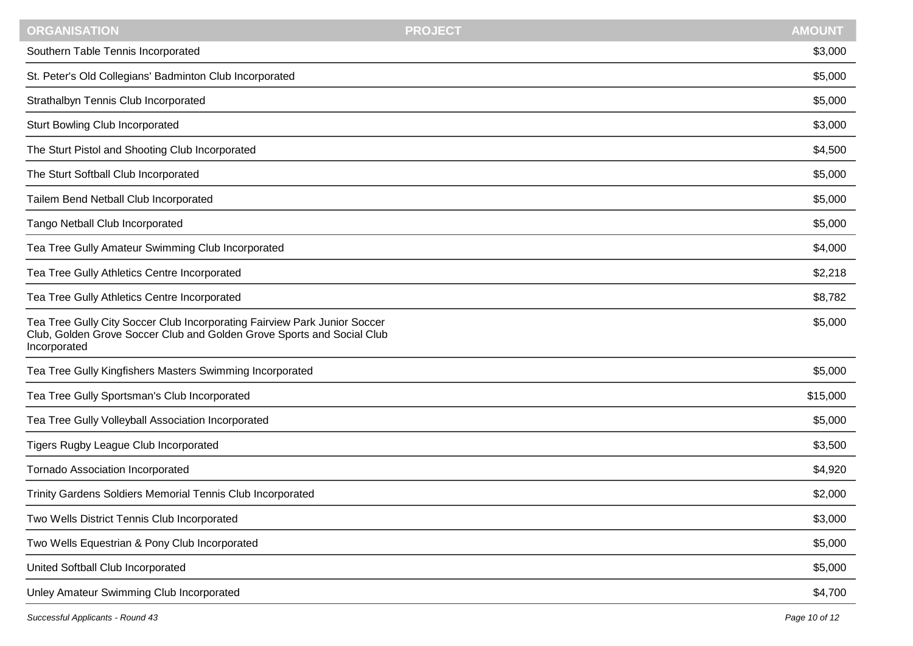| <b>ORGANISATION</b>                                                                                                                                                 | <b>PROJECT</b> | <b>AMOUNT</b> |
|---------------------------------------------------------------------------------------------------------------------------------------------------------------------|----------------|---------------|
| Southern Table Tennis Incorporated                                                                                                                                  |                | \$3,000       |
| St. Peter's Old Collegians' Badminton Club Incorporated                                                                                                             |                | \$5,000       |
| Strathalbyn Tennis Club Incorporated                                                                                                                                |                | \$5,000       |
| <b>Sturt Bowling Club Incorporated</b>                                                                                                                              |                | \$3,000       |
| The Sturt Pistol and Shooting Club Incorporated                                                                                                                     |                | \$4,500       |
| The Sturt Softball Club Incorporated                                                                                                                                |                | \$5,000       |
| Tailem Bend Netball Club Incorporated                                                                                                                               |                | \$5,000       |
| Tango Netball Club Incorporated                                                                                                                                     |                | \$5,000       |
| Tea Tree Gully Amateur Swimming Club Incorporated                                                                                                                   |                | \$4,000       |
| Tea Tree Gully Athletics Centre Incorporated                                                                                                                        |                | \$2,218       |
| Tea Tree Gully Athletics Centre Incorporated                                                                                                                        |                | \$8,782       |
| Tea Tree Gully City Soccer Club Incorporating Fairview Park Junior Soccer<br>Club, Golden Grove Soccer Club and Golden Grove Sports and Social Club<br>Incorporated |                | \$5,000       |
| Tea Tree Gully Kingfishers Masters Swimming Incorporated                                                                                                            |                | \$5,000       |
| Tea Tree Gully Sportsman's Club Incorporated                                                                                                                        |                | \$15,000      |
| Tea Tree Gully Volleyball Association Incorporated                                                                                                                  |                | \$5,000       |
| Tigers Rugby League Club Incorporated                                                                                                                               |                | \$3,500       |
| <b>Tornado Association Incorporated</b>                                                                                                                             |                | \$4,920       |
| Trinity Gardens Soldiers Memorial Tennis Club Incorporated                                                                                                          |                | \$2,000       |
| Two Wells District Tennis Club Incorporated                                                                                                                         |                | \$3,000       |
| Two Wells Equestrian & Pony Club Incorporated                                                                                                                       |                | \$5,000       |
| United Softball Club Incorporated                                                                                                                                   |                | \$5,000       |
| Unley Amateur Swimming Club Incorporated                                                                                                                            |                | \$4,700       |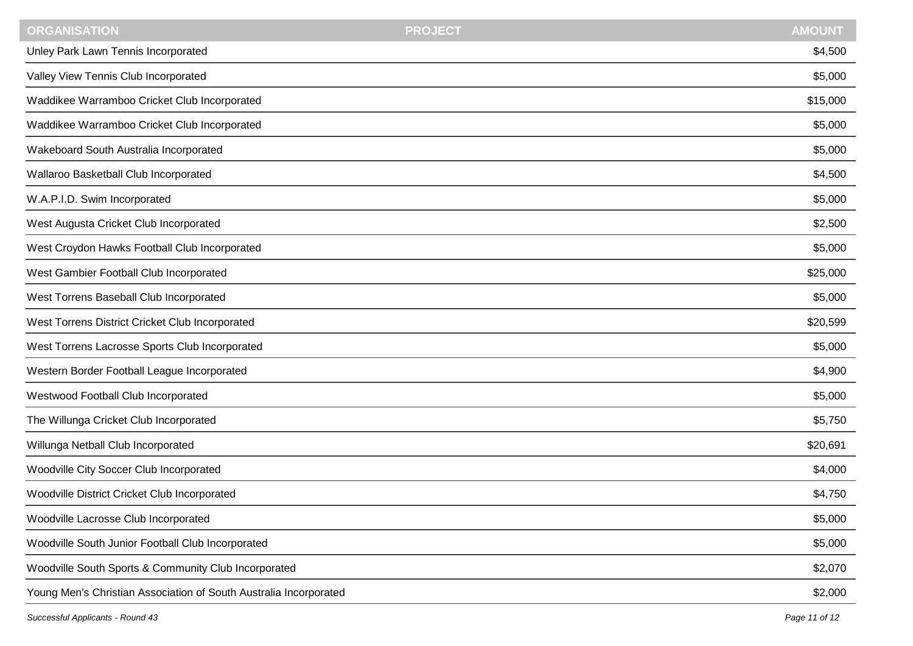| <b>ORGANISATION</b>                                               | <b>PROJECT</b> | <b>AMOUNT</b> |
|-------------------------------------------------------------------|----------------|---------------|
| Unley Park Lawn Tennis Incorporated                               |                | \$4,500       |
| Valley View Tennis Club Incorporated                              |                | \$5,000       |
| Waddikee Warramboo Cricket Club Incorporated                      |                | \$15,000      |
| Waddikee Warramboo Cricket Club Incorporated                      |                | \$5,000       |
| Wakeboard South Australia Incorporated                            |                | \$5,000       |
| Wallaroo Basketball Club Incorporated                             |                | \$4,500       |
| W.A.P.I.D. Swim Incorporated                                      |                | \$5,000       |
| West Augusta Cricket Club Incorporated                            |                | \$2,500       |
| West Croydon Hawks Football Club Incorporated                     |                | \$5,000       |
| West Gambier Football Club Incorporated                           |                | \$25,000      |
| West Torrens Baseball Club Incorporated                           |                | \$5,000       |
| West Torrens District Cricket Club Incorporated                   |                | \$20,599      |
| West Torrens Lacrosse Sports Club Incorporated                    |                | \$5,000       |
| Western Border Football League Incorporated                       |                | \$4,900       |
| Westwood Football Club Incorporated                               |                | \$5,000       |
| The Willunga Cricket Club Incorporated                            |                | \$5,750       |
| Willunga Netball Club Incorporated                                |                | \$20,691      |
| Woodville City Soccer Club Incorporated                           |                | \$4,000       |
| Woodville District Cricket Club Incorporated                      |                | \$4,750       |
| Woodville Lacrosse Club Incorporated                              |                | \$5,000       |
| Woodville South Junior Football Club Incorporated                 |                | \$5,000       |
| Woodville South Sports & Community Club Incorporated              |                | \$2,070       |
| Young Men's Christian Association of South Australia Incorporated |                | \$2,000       |